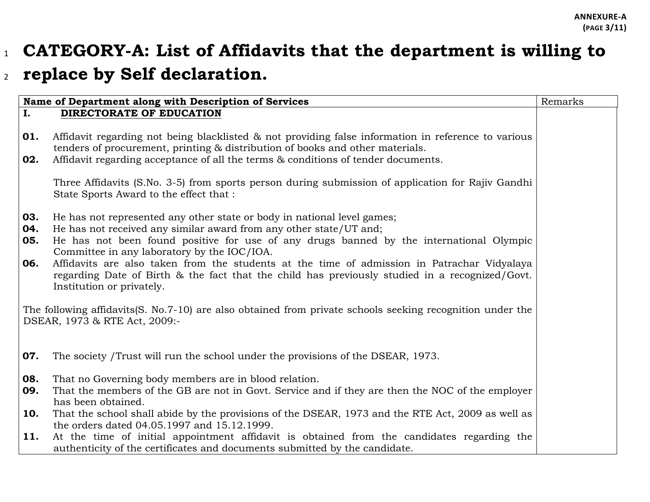# 1 **CATEGORY-A: List of Affidavits that the department is willing to**  2 **replace by Self declaration.**

| Name of Department along with Description of Services<br>Remarks                                                                            |                                                                                                                                                                                                                                                                                                                                                                                                                                                                                                                       |  |
|---------------------------------------------------------------------------------------------------------------------------------------------|-----------------------------------------------------------------------------------------------------------------------------------------------------------------------------------------------------------------------------------------------------------------------------------------------------------------------------------------------------------------------------------------------------------------------------------------------------------------------------------------------------------------------|--|
| I.                                                                                                                                          | DIRECTORATE OF EDUCATION                                                                                                                                                                                                                                                                                                                                                                                                                                                                                              |  |
| 01.<br>02.                                                                                                                                  | Affidavit regarding not being blacklisted & not providing false information in reference to various<br>tenders of procurement, printing & distribution of books and other materials.<br>Affidavit regarding acceptance of all the terms & conditions of tender documents.                                                                                                                                                                                                                                             |  |
|                                                                                                                                             | Three Affidavits (S.No. 3-5) from sports person during submission of application for Rajiv Gandhi<br>State Sports Award to the effect that:                                                                                                                                                                                                                                                                                                                                                                           |  |
| 03.<br>04.<br>05.<br>06.                                                                                                                    | He has not represented any other state or body in national level games;<br>He has not received any similar award from any other state/UT and;<br>He has not been found positive for use of any drugs banned by the international Olympic<br>Committee in any laboratory by the IOC/IOA.<br>Affidavits are also taken from the students at the time of admission in Patrachar Vidyalaya<br>regarding Date of Birth & the fact that the child has previously studied in a recognized/Govt.<br>Institution or privately. |  |
| The following affidavits (S. No.7-10) are also obtained from private schools seeking recognition under the<br>DSEAR, 1973 & RTE Act, 2009:- |                                                                                                                                                                                                                                                                                                                                                                                                                                                                                                                       |  |
| 07.                                                                                                                                         | The society /Trust will run the school under the provisions of the DSEAR, 1973.                                                                                                                                                                                                                                                                                                                                                                                                                                       |  |
| 08.<br>09.                                                                                                                                  | That no Governing body members are in blood relation.<br>That the members of the GB are not in Govt. Service and if they are then the NOC of the employer                                                                                                                                                                                                                                                                                                                                                             |  |
| 10.                                                                                                                                         | has been obtained.<br>That the school shall abide by the provisions of the DSEAR, 1973 and the RTE Act, 2009 as well as<br>the orders dated 04.05.1997 and 15.12.1999.                                                                                                                                                                                                                                                                                                                                                |  |
| 11.                                                                                                                                         | At the time of initial appointment affidavit is obtained from the candidates regarding the<br>authenticity of the certificates and documents submitted by the candidate.                                                                                                                                                                                                                                                                                                                                              |  |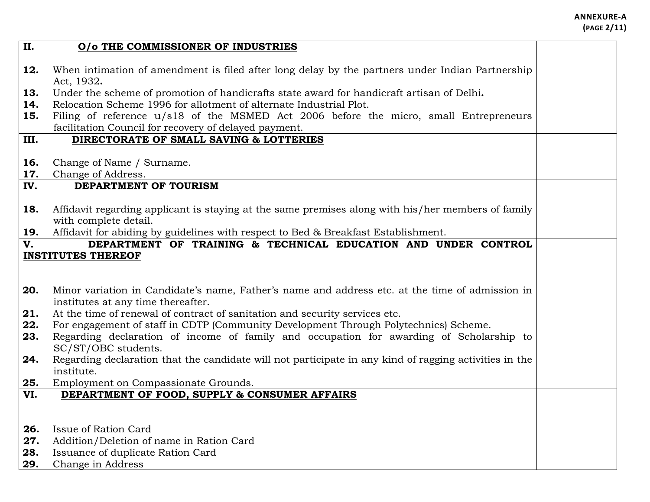| II.       | O/o THE COMMISSIONER OF INDUSTRIES                                                                                                                   |  |
|-----------|------------------------------------------------------------------------------------------------------------------------------------------------------|--|
|           |                                                                                                                                                      |  |
| 12.       | When intimation of amendment is filed after long delay by the partners under Indian Partnership                                                      |  |
| 13.       | Act, 1932.<br>Under the scheme of promotion of handicrafts state award for handicraft artisan of Delhi.                                              |  |
| 14.       | Relocation Scheme 1996 for allotment of alternate Industrial Plot.                                                                                   |  |
| 15.       | Filing of reference u/s18 of the MSMED Act 2006 before the micro, small Entrepreneurs                                                                |  |
|           | facilitation Council for recovery of delayed payment.                                                                                                |  |
| III.      | DIRECTORATE OF SMALL SAVING & LOTTERIES                                                                                                              |  |
|           |                                                                                                                                                      |  |
| 16.       | Change of Name / Surname.                                                                                                                            |  |
| 17.       | Change of Address.                                                                                                                                   |  |
| IV.       | DEPARTMENT OF TOURISM                                                                                                                                |  |
|           |                                                                                                                                                      |  |
| 18.       | Affidavit regarding applicant is staying at the same premises along with his/her members of family                                                   |  |
|           | with complete detail.                                                                                                                                |  |
| 19.<br>V. | Affidavit for abiding by guidelines with respect to Bed & Breakfast Establishment.<br>DEPARTMENT OF TRAINING & TECHNICAL EDUCATION AND UNDER CONTROL |  |
|           | <b>INSTITUTES THEREOF</b>                                                                                                                            |  |
|           |                                                                                                                                                      |  |
|           |                                                                                                                                                      |  |
| 20.       | Minor variation in Candidate's name, Father's name and address etc. at the time of admission in                                                      |  |
|           | institutes at any time thereafter.                                                                                                                   |  |
| 21.       | At the time of renewal of contract of sanitation and security services etc.                                                                          |  |
| 22.       | For engagement of staff in CDTP (Community Development Through Polytechnics) Scheme.                                                                 |  |
| 23.       | Regarding declaration of income of family and occupation for awarding of Scholarship to                                                              |  |
|           | SC/ST/OBC students.                                                                                                                                  |  |
| 24.       | Regarding declaration that the candidate will not participate in any kind of ragging activities in the                                               |  |
|           | institute.                                                                                                                                           |  |
| 25.       | Employment on Compassionate Grounds.                                                                                                                 |  |
| VI.       | DEPARTMENT OF FOOD, SUPPLY & CONSUMER AFFAIRS                                                                                                        |  |
|           |                                                                                                                                                      |  |
| 26.       | Issue of Ration Card                                                                                                                                 |  |
| 27.       | Addition/Deletion of name in Ration Card                                                                                                             |  |
| 28.       | Issuance of duplicate Ration Card                                                                                                                    |  |
| 29.       | Change in Address                                                                                                                                    |  |
|           |                                                                                                                                                      |  |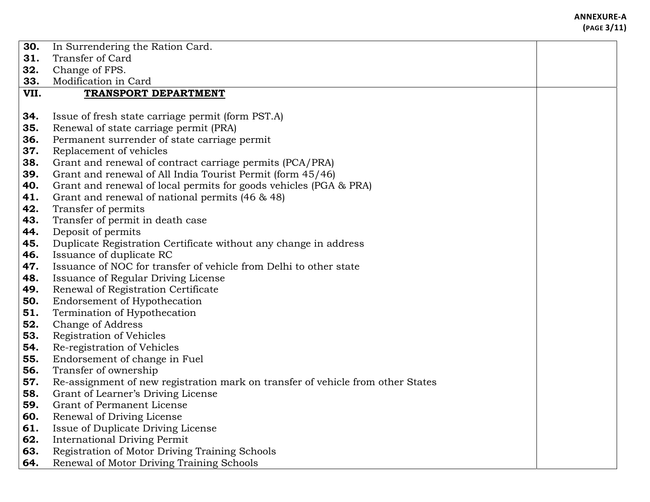| 30.        | In Surrendering the Ration Card.                                                |  |
|------------|---------------------------------------------------------------------------------|--|
| 31.        | Transfer of Card                                                                |  |
| 32.        | Change of FPS.                                                                  |  |
| 33.        | Modification in Card                                                            |  |
| VII.       | TRANSPORT DEPARTMENT                                                            |  |
|            |                                                                                 |  |
| 34.        | Issue of fresh state carriage permit (form PST.A)                               |  |
| 35.        | Renewal of state carriage permit (PRA)                                          |  |
| 36.        | Permanent surrender of state carriage permit                                    |  |
| 37.        | Replacement of vehicles                                                         |  |
| 38.        | Grant and renewal of contract carriage permits (PCA/PRA)                        |  |
| 39.        | Grant and renewal of All India Tourist Permit (form 45/46)                      |  |
| 40.        | Grant and renewal of local permits for goods vehicles (PGA & PRA)               |  |
| 41.        | Grant and renewal of national permits $(46 \& 48)$                              |  |
| 42.        | Transfer of permits                                                             |  |
| 43.        | Transfer of permit in death case                                                |  |
| 44.        | Deposit of permits                                                              |  |
| 45.        | Duplicate Registration Certificate without any change in address                |  |
| 46.        | Issuance of duplicate RC                                                        |  |
| 47.        | Issuance of NOC for transfer of vehicle from Delhi to other state               |  |
| 48.        | Issuance of Regular Driving License                                             |  |
| 49.        | Renewal of Registration Certificate                                             |  |
| 50.<br>51. | Endorsement of Hypothecation<br>Termination of Hypothecation                    |  |
| 52.        | Change of Address                                                               |  |
| 53.        | Registration of Vehicles                                                        |  |
| 54.        | Re-registration of Vehicles                                                     |  |
| 55.        | Endorsement of change in Fuel                                                   |  |
| 56.        | Transfer of ownership                                                           |  |
| 57.        | Re-assignment of new registration mark on transfer of vehicle from other States |  |
| 58.        | Grant of Learner's Driving License                                              |  |
| 59.        | Grant of Permanent License                                                      |  |
| 60.        | Renewal of Driving License                                                      |  |
| 61.        | Issue of Duplicate Driving License                                              |  |
| 62.        | <b>International Driving Permit</b>                                             |  |
| 63.        | Registration of Motor Driving Training Schools                                  |  |
| 64.        | Renewal of Motor Driving Training Schools                                       |  |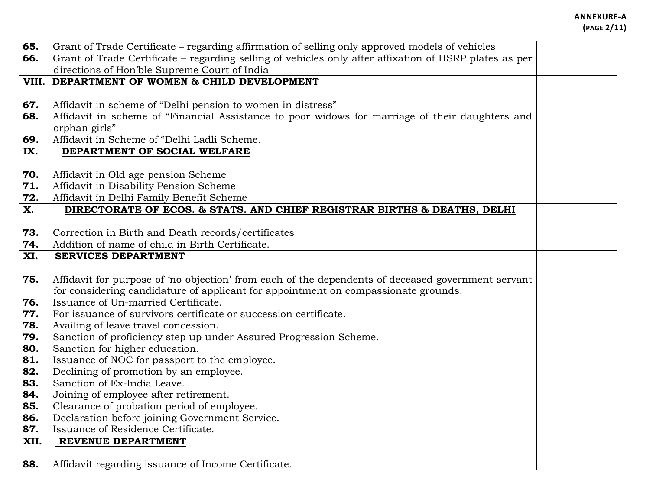**ANNEXURE‐A (PAGE 2/11)**

| 65.        | Grant of Trade Certificate - regarding affirmation of selling only approved models of vehicles            |  |
|------------|-----------------------------------------------------------------------------------------------------------|--|
| 66.        | Grant of Trade Certificate – regarding selling of vehicles only after affixation of HSRP plates as per    |  |
|            | directions of Hon'ble Supreme Court of India                                                              |  |
|            | VIII. DEPARTMENT OF WOMEN & CHILD DEVELOPMENT                                                             |  |
|            |                                                                                                           |  |
| 67.        | Affidavit in scheme of "Delhi pension to women in distress"                                               |  |
| 68.        | Affidavit in scheme of "Financial Assistance to poor widows for marriage of their daughters and           |  |
|            | orphan girls"                                                                                             |  |
| 69.        | Affidavit in Scheme of "Delhi Ladli Scheme.                                                               |  |
| IX.        | DEPARTMENT OF SOCIAL WELFARE                                                                              |  |
|            |                                                                                                           |  |
| 70.        | Affidavit in Old age pension Scheme                                                                       |  |
| 71.        | Affidavit in Disability Pension Scheme                                                                    |  |
| 72.        | Affidavit in Delhi Family Benefit Scheme                                                                  |  |
| X.         | DIRECTORATE OF ECOS. & STATS. AND CHIEF REGISTRAR BIRTHS & DEATHS, DELHI                                  |  |
|            |                                                                                                           |  |
| 73.        | Correction in Birth and Death records/certificates                                                        |  |
| 74.        | Addition of name of child in Birth Certificate.                                                           |  |
| XI.        | <b>SERVICES DEPARTMENT</b>                                                                                |  |
|            |                                                                                                           |  |
| 75.        | Affidavit for purpose of 'no objection' from each of the dependents of deceased government servant        |  |
|            | for considering candidature of applicant for appointment on compassionate grounds.                        |  |
| 76.        | Issuance of Un-married Certificate.                                                                       |  |
| 77.        | For issuance of survivors certificate or succession certificate.                                          |  |
| 78.<br>79. | Availing of leave travel concession.<br>Sanction of proficiency step up under Assured Progression Scheme. |  |
| 80.        | Sanction for higher education.                                                                            |  |
| 81.        | Issuance of NOC for passport to the employee.                                                             |  |
| 82.        | Declining of promotion by an employee.                                                                    |  |
| 83.        | Sanction of Ex-India Leave.                                                                               |  |
| 84.        | Joining of employee after retirement.                                                                     |  |
| 85.        | Clearance of probation period of employee.                                                                |  |
| 86.        | Declaration before joining Government Service.                                                            |  |
| 87.        | Issuance of Residence Certificate.                                                                        |  |
| XII.       | REVENUE DEPARTMENT                                                                                        |  |
|            |                                                                                                           |  |
| 88.        | Affidavit regarding issuance of Income Certificate.                                                       |  |
|            |                                                                                                           |  |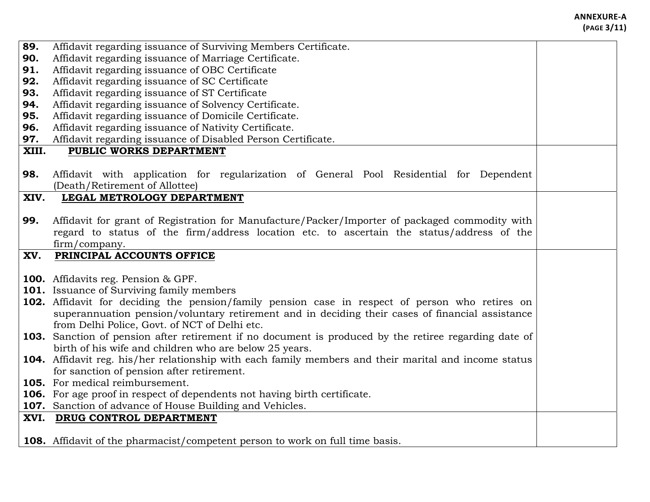#### **ANNEXURE‐A (PAGE 3/11)**

| 89.   | Affidavit regarding issuance of Surviving Members Certificate.                                        |  |
|-------|-------------------------------------------------------------------------------------------------------|--|
| 90.   | Affidavit regarding issuance of Marriage Certificate.                                                 |  |
| 91.   | Affidavit regarding issuance of OBC Certificate                                                       |  |
| 92.   | Affidavit regarding issuance of SC Certificate                                                        |  |
| 93.   | Affidavit regarding issuance of ST Certificate                                                        |  |
| 94.   | Affidavit regarding issuance of Solvency Certificate.                                                 |  |
| 95.   | Affidavit regarding issuance of Domicile Certificate.                                                 |  |
| 96.   | Affidavit regarding issuance of Nativity Certificate.                                                 |  |
| 97.   | Affidavit regarding issuance of Disabled Person Certificate.                                          |  |
| XIII. | PUBLIC WORKS DEPARTMENT                                                                               |  |
|       |                                                                                                       |  |
| 98.   | Affidavit with application for regularization of General Pool Residential for Dependent               |  |
|       | (Death/Retirement of Allottee)                                                                        |  |
| XIV.  | LEGAL METROLOGY DEPARTMENT                                                                            |  |
|       |                                                                                                       |  |
| 99.   | Affidavit for grant of Registration for Manufacture/Packer/Importer of packaged commodity with        |  |
|       | regard to status of the firm/address location etc. to ascertain the status/address of the             |  |
|       | firm/company.                                                                                         |  |
| XV.   | PRINCIPAL ACCOUNTS OFFICE                                                                             |  |
|       |                                                                                                       |  |
|       | <b>100.</b> Affidavits reg. Pension & GPF.                                                            |  |
|       | 101. Issuance of Surviving family members                                                             |  |
|       | 102. Affidavit for deciding the pension/family pension case in respect of person who retires on       |  |
|       | superannuation pension/voluntary retirement and in deciding their cases of financial assistance       |  |
|       | from Delhi Police, Govt. of NCT of Delhi etc.                                                         |  |
|       | 103. Sanction of pension after retirement if no document is produced by the retiree regarding date of |  |
|       | birth of his wife and children who are below 25 years.                                                |  |
|       | 104. Affidavit reg. his/her relationship with each family members and their marital and income status |  |
|       | for sanction of pension after retirement.                                                             |  |
|       | 105. For medical reimbursement.                                                                       |  |
|       | 106. For age proof in respect of dependents not having birth certificate.                             |  |
|       | 107. Sanction of advance of House Building and Vehicles.                                              |  |
|       | XVI. DRUG CONTROL DEPARTMENT                                                                          |  |
|       |                                                                                                       |  |
|       | <b>108.</b> Affidavit of the pharmacist/competent person to work on full time basis.                  |  |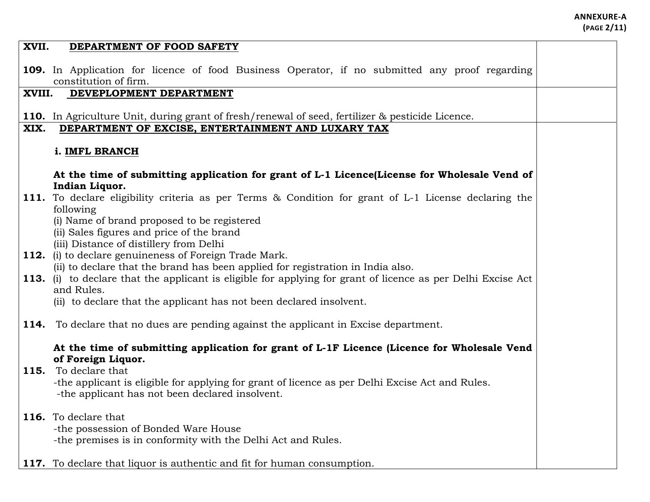| XVII.  | DEPARTMENT OF FOOD SAFETY                                                                                                                 |  |
|--------|-------------------------------------------------------------------------------------------------------------------------------------------|--|
|        | 109. In Application for licence of food Business Operator, if no submitted any proof regarding<br>constitution of firm.                   |  |
| XVIII. | DEVEPLOPMENT DEPARTMENT                                                                                                                   |  |
|        |                                                                                                                                           |  |
|        | <b>110.</b> In Agriculture Unit, during grant of fresh/renewal of seed, fertilizer & pesticide Licence.                                   |  |
| XIX.   | DEPARTMENT OF EXCISE, ENTERTAINMENT AND LUXARY TAX                                                                                        |  |
|        | i. IMFL BRANCH                                                                                                                            |  |
|        | At the time of submitting application for grant of L-1 Licence(License for Wholesale Vend of<br>Indian Liquor.                            |  |
|        | 111. To declare eligibility criteria as per Terms & Condition for grant of L-1 License declaring the<br>following                         |  |
|        | (i) Name of brand proposed to be registered                                                                                               |  |
|        | (ii) Sales figures and price of the brand                                                                                                 |  |
|        | (iii) Distance of distillery from Delhi                                                                                                   |  |
|        | 112. (i) to declare genuineness of Foreign Trade Mark.<br>(ii) to declare that the brand has been applied for registration in India also. |  |
|        | 113. (i) to declare that the applicant is eligible for applying for grant of licence as per Delhi Excise Act                              |  |
|        | and Rules.                                                                                                                                |  |
|        | (ii) to declare that the applicant has not been declared insolvent.                                                                       |  |
|        |                                                                                                                                           |  |
|        | <b>114.</b> To declare that no dues are pending against the applicant in Excise department.                                               |  |
|        | At the time of submitting application for grant of L-1F Licence (Licence for Wholesale Vend                                               |  |
|        | of Foreign Liquor.                                                                                                                        |  |
|        | 115. To declare that                                                                                                                      |  |
|        | -the applicant is eligible for applying for grant of licence as per Delhi Excise Act and Rules.                                           |  |
|        | -the applicant has not been declared insolvent.                                                                                           |  |
|        |                                                                                                                                           |  |
|        | 116. To declare that<br>-the possession of Bonded Ware House                                                                              |  |
|        | -the premises is in conformity with the Delhi Act and Rules.                                                                              |  |
|        |                                                                                                                                           |  |
|        | 117. To declare that liquor is authentic and fit for human consumption.                                                                   |  |
|        |                                                                                                                                           |  |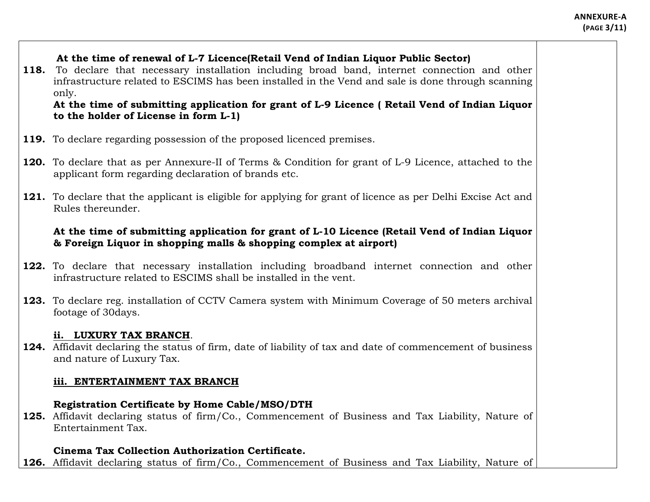# **At the time of renewal of L-7 Licence(Retail Vend of Indian Liquor Public Sector)**

**118.** To declare that necessary installation including broad band, internet connection and other infrastructure related to ESCIMS has been installed in the Vend and sale is done through scanning only.

#### **At the time of submitting application for grant of L-9 Licence ( Retail Vend of Indian Liquor to the holder of License in form L-1)**

- **119.** To declare regarding possession of the proposed licenced premises.
- **120.** To declare that as per Annexure-II of Terms & Condition for grant of L-9 Licence, attached to the applicant form regarding declaration of brands etc.
- **121.** To declare that the applicant is eligible for applying for grant of licence as per Delhi Excise Act and Rules thereunder.

# **At the time of submitting application for grant of L-10 Licence (Retail Vend of Indian Liquor & Foreign Liquor in shopping malls & shopping complex at airport)**

- **122.** To declare that necessary installation including broadband internet connection and other infrastructure related to ESCIMS shall be installed in the vent.
- **123.** To declare reg. installation of CCTV Camera system with Minimum Coverage of 50 meters archival footage of 30days.

## **ii. LUXURY TAX BRANCH**.

**124.** Affidavit declaring the status of firm, date of liability of tax and date of commencement of business and nature of Luxury Tax.

## **iii. ENTERTAINMENT TAX BRANCH**

# **Registration Certificate by Home Cable/MSO/DTH**

**125.** Affidavit declaring status of firm/Co., Commencement of Business and Tax Liability, Nature of Entertainment Tax.

## **Cinema Tax Collection Authorization Certificate.**

**126.** Affidavit declaring status of firm/Co., Commencement of Business and Tax Liability, Nature of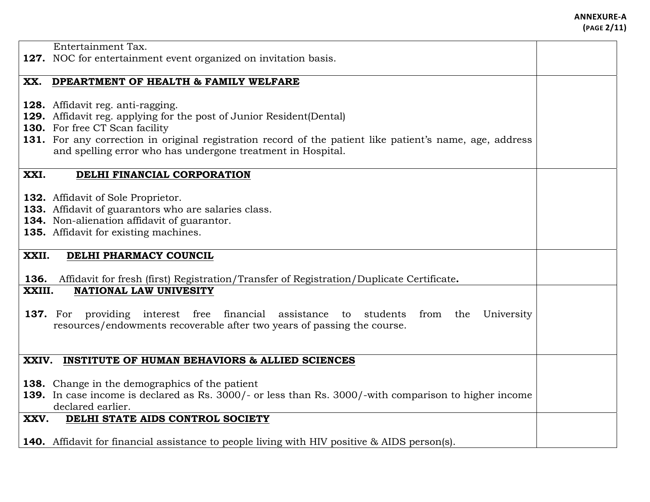#### **ANNEXURE‐A (PAGE 2/11)**

|        | Entertainment Tax.                                                                                                                                                      |  |
|--------|-------------------------------------------------------------------------------------------------------------------------------------------------------------------------|--|
|        | 127. NOC for entertainment event organized on invitation basis.                                                                                                         |  |
|        |                                                                                                                                                                         |  |
|        | XX. DPEARTMENT OF HEALTH & FAMILY WELFARE                                                                                                                               |  |
|        |                                                                                                                                                                         |  |
|        | 128. Affidavit reg. anti-ragging.                                                                                                                                       |  |
|        | <b>129.</b> Affidavit reg. applying for the post of Junior Resident (Dental)                                                                                            |  |
|        | 130. For free CT Scan facility                                                                                                                                          |  |
|        | 131. For any correction in original registration record of the patient like patient's name, age, address<br>and spelling error who has undergone treatment in Hospital. |  |
|        |                                                                                                                                                                         |  |
| XXI.   | DELHI FINANCIAL CORPORATION                                                                                                                                             |  |
|        |                                                                                                                                                                         |  |
|        | <b>132.</b> Affidavit of Sole Proprietor.                                                                                                                               |  |
|        | 133. Affidavit of guarantors who are salaries class.                                                                                                                    |  |
|        | 134. Non-alienation affidavit of guarantor.                                                                                                                             |  |
|        | 135. Affidavit for existing machines.                                                                                                                                   |  |
|        |                                                                                                                                                                         |  |
| XXII.  | DELHI PHARMACY COUNCIL                                                                                                                                                  |  |
| 136.   | Affidavit for fresh (first) Registration/Transfer of Registration/Duplicate Certificate.                                                                                |  |
| XXIII. | NATIONAL LAW UNIVESITY                                                                                                                                                  |  |
|        |                                                                                                                                                                         |  |
|        | providing interest free financial<br>assistance to students<br>University<br><b>137.</b> For<br>from the                                                                |  |
|        | resources/endowments recoverable after two years of passing the course.                                                                                                 |  |
|        |                                                                                                                                                                         |  |
|        |                                                                                                                                                                         |  |
| XXIV.  | <b>INSTITUTE OF HUMAN BEHAVIORS &amp; ALLIED SCIENCES</b>                                                                                                               |  |
|        |                                                                                                                                                                         |  |
|        | <b>138.</b> Change in the demographics of the patient                                                                                                                   |  |
|        | 139. In case income is declared as Rs. 3000/- or less than Rs. 3000/-with comparison to higher income                                                                   |  |
|        | declared earlier.                                                                                                                                                       |  |
| XXV.   | DELHI STATE AIDS CONTROL SOCIETY                                                                                                                                        |  |
|        |                                                                                                                                                                         |  |
|        | <b>140.</b> Affidavit for financial assistance to people living with HIV positive & AIDS person(s).                                                                     |  |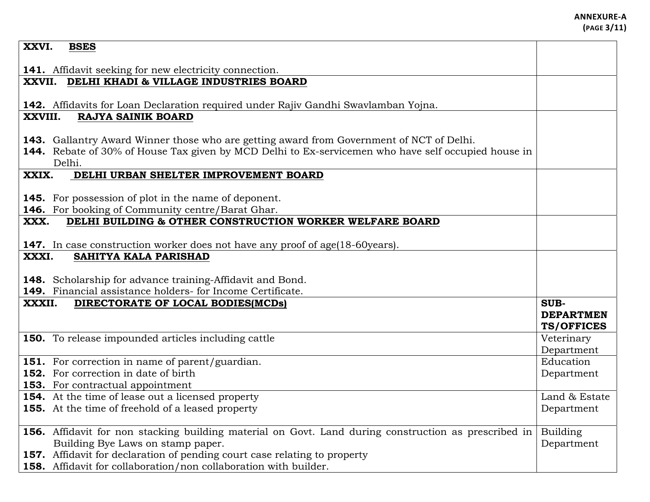| XXVI.   | <b>BSES</b>                                                                                                                    |                   |
|---------|--------------------------------------------------------------------------------------------------------------------------------|-------------------|
|         |                                                                                                                                |                   |
|         | 141. Affidavit seeking for new electricity connection.                                                                         |                   |
|         | XXVII. DELHI KHADI & VILLAGE INDUSTRIES BOARD                                                                                  |                   |
|         |                                                                                                                                |                   |
|         | 142. Affidavits for Loan Declaration required under Rajiv Gandhi Swavlamban Yojna.                                             |                   |
| XXVIII. | <b>RAJYA SAINIK BOARD</b>                                                                                                      |                   |
|         | <b>143.</b> Gallantry Award Winner those who are getting award from Government of NCT of Delhi.                                |                   |
|         | 144. Rebate of 30% of House Tax given by MCD Delhi to Ex-servicemen who have self occupied house in                            |                   |
|         | Delhi.                                                                                                                         |                   |
| XXIX.   | DELHI URBAN SHELTER IMPROVEMENT BOARD                                                                                          |                   |
|         |                                                                                                                                |                   |
|         | <b>145.</b> For possession of plot in the name of deponent.                                                                    |                   |
|         | 146. For booking of Community centre/Barat Ghar.                                                                               |                   |
| XXX.    | DELHI BUILDING & OTHER CONSTRUCTION WORKER WELFARE BOARD                                                                       |                   |
|         |                                                                                                                                |                   |
|         | <b>147.</b> In case construction worker does not have any proof of age(18-60years).                                            |                   |
| XXXI.   | SAHITYA KALA PARISHAD                                                                                                          |                   |
|         |                                                                                                                                |                   |
|         | <b>148.</b> Scholarship for advance training-Affidavit and Bond.<br>149. Financial assistance holders- for Income Certificate. |                   |
| XXXII.  | DIRECTORATE OF LOCAL BODIES(MCDs)                                                                                              | <b>SUB-</b>       |
|         |                                                                                                                                | <b>DEPARTMEN</b>  |
|         |                                                                                                                                | <b>TS/OFFICES</b> |
|         | <b>150.</b> To release impounded articles including cattle                                                                     | Veterinary        |
|         |                                                                                                                                | Department        |
|         | 151. For correction in name of parent/guardian.                                                                                | Education         |
|         | <b>152.</b> For correction in date of birth                                                                                    | Department        |
|         | <b>153.</b> For contractual appointment                                                                                        |                   |
|         | <b>154.</b> At the time of lease out a licensed property                                                                       | Land & Estate     |
|         | 155. At the time of freehold of a leased property                                                                              | Department        |
|         | 156. Affidavit for non stacking building material on Govt. Land during construction as prescribed in                           | Building          |
|         | Building Bye Laws on stamp paper.                                                                                              | Department        |
|         | 157. Affidavit for declaration of pending court case relating to property                                                      |                   |
|         | 158. Affidavit for collaboration/non collaboration with builder.                                                               |                   |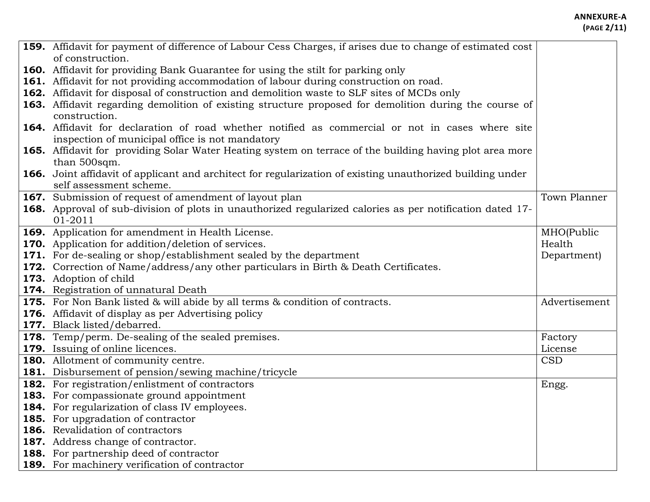#### **ANNEXURE‐A (PAGE 2/11)**

| 159. Affidavit for payment of difference of Labour Cess Charges, if arises due to change of estimated cost |               |
|------------------------------------------------------------------------------------------------------------|---------------|
| of construction.                                                                                           |               |
| <b>160.</b> Affidavit for providing Bank Guarantee for using the stilt for parking only                    |               |
| <b>161.</b> Affidavit for not providing accommodation of labour during construction on road.               |               |
| 162. Affidavit for disposal of construction and demolition waste to SLF sites of MCDs only                 |               |
| 163. Affidavit regarding demolition of existing structure proposed for demolition during the course of     |               |
| construction.                                                                                              |               |
| 164. Affidavit for declaration of road whether notified as commercial or not in cases where site           |               |
| inspection of municipal office is not mandatory                                                            |               |
| 165. Affidavit for providing Solar Water Heating system on terrace of the building having plot area more   |               |
| than 500sqm.                                                                                               |               |
| 166. Joint affidavit of applicant and architect for regularization of existing unauthorized building under |               |
| self assessment scheme.                                                                                    |               |
| 167. Submission of request of amendment of layout plan                                                     | Town Planner  |
| 168. Approval of sub-division of plots in unauthorized regularized calories as per notification dated 17-  |               |
| 01-2011                                                                                                    |               |
| 169. Application for amendment in Health License.                                                          | MHO(Public    |
| 170. Application for addition/deletion of services.                                                        | Health        |
| <b>171.</b> For de-sealing or shop/establishment sealed by the department                                  | Department)   |
| <b>172.</b> Correction of Name/address/any other particulars in Birth & Death Certificates.                |               |
| 173. Adoption of child                                                                                     |               |
| 174. Registration of unnatural Death                                                                       |               |
| 175. For Non Bank listed & will abide by all terms & condition of contracts.                               | Advertisement |
| <b>176.</b> Affidavit of display as per Advertising policy                                                 |               |
| 177. Black listed/debarred.                                                                                |               |
| 178. Temp/perm. De-sealing of the sealed premises.                                                         | Factory       |
| 179. Issuing of online licences.                                                                           | License       |
| 180. Allotment of community centre.                                                                        | <b>CSD</b>    |
| 181. Disbursement of pension/sewing machine/tricycle                                                       |               |
| 182. For registration/enlistment of contractors                                                            | Engg.         |
| 183. For compassionate ground appointment                                                                  |               |
| <b>184.</b> For regularization of class IV employees.                                                      |               |
| <b>185.</b> For upgradation of contractor                                                                  |               |
| <b>186.</b> Revalidation of contractors                                                                    |               |
| 187. Address change of contractor.                                                                         |               |
| 188. For partnership deed of contractor                                                                    |               |
| <b>189.</b> For machinery verification of contractor                                                       |               |